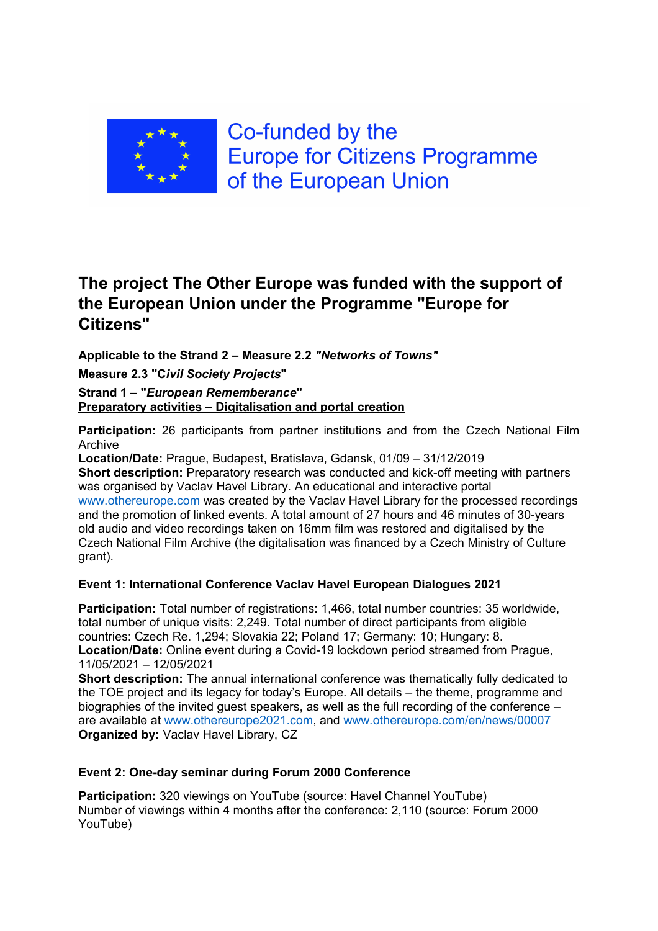

Co-funded by the **Europe for Citizens Programme** of the European Union

# **The project The Other Europe was funded with the support of the European Union under the Programme "Europe for Citizens"**

**Applicable to the Strand 2 – Measure 2.2** *"Networks of Towns"*

**Measure 2.3 "C***ivil Society Projects***"**

**Strand 1 – "***European Rememberance***" Preparatory activities – Digitalisation and portal creation**

**Participation:** 26 participants from partner institutions and from the Czech National Film Archive

**Location/Date:** Prague, Budapest, Bratislava, Gdansk, 01/09 – 31/12/2019 **Short description:** Preparatory research was conducted and kick-off meeting with partners was organised by Vaclav Havel Library. An educational and interactive portal www.othereurope.com was created by the Vaclav Havel Library for the processed recordings and the promotion of linked events. A total amount of 27 hours and 46 minutes of 30-years old audio and video recordings taken on 16mm film was restored and digitalised by the Czech National Film Archive (the digitalisation was financed by a Czech Ministry of Culture grant).

# **Event 1: International Conference Vaclav Havel European Dialogues 2021**

**Participation:** Total number of registrations: 1,466, total number countries: 35 worldwide, total number of unique visits: 2,249. Total number of direct participants from eligible countries: Czech Re. 1,294; Slovakia 22; Poland 17; Germany: 10; Hungary: 8. **Location/Date:** Online event during a Covid-19 lockdown period streamed from Prague, 11/05/2021 – 12/05/2021

**Short description:** The annual international conference was thematically fully dedicated to the TOE project and its legacy for today's Europe. All details – the theme, programme and biographies of the invited guest speakers, as well as the full recording of the conference – are available at www.othereurope2021.com, and www.othereurope.com/en/news/00007 **Organized by:** Vaclav Havel Library, CZ

# **Event 2: One-day seminar during Forum 2000 Conference**

**Participation:** 320 viewings on YouTube (source: Havel Channel YouTube) Number of viewings within 4 months after the conference: 2,110 (source: Forum 2000 YouTube)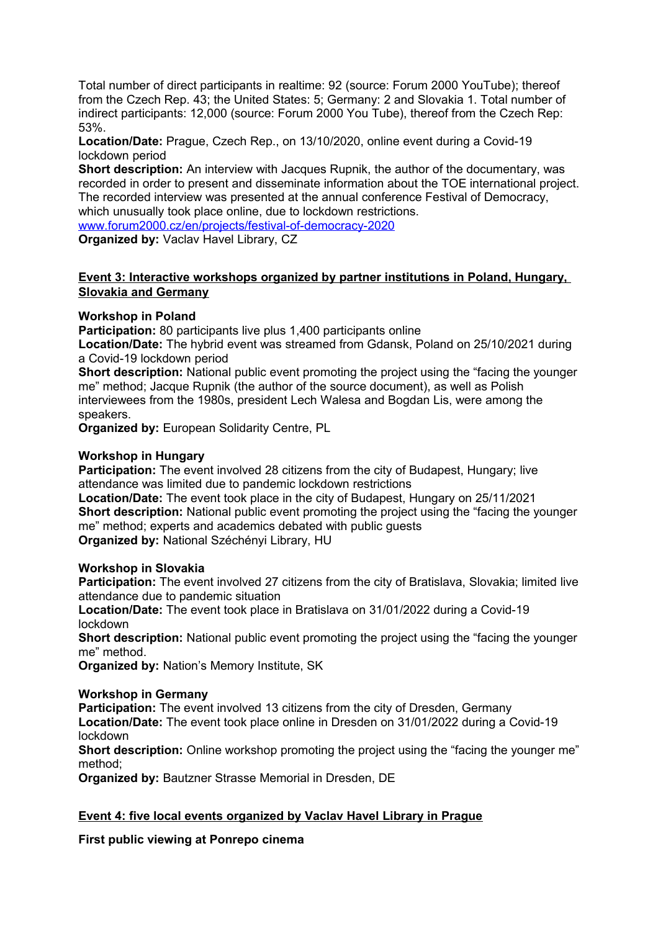Total number of direct participants in realtime: 92 (source: Forum 2000 YouTube); thereof from the Czech Rep. 43; the United States: 5; Germany: 2 and Slovakia 1. Total number of indirect participants: 12,000 (source: Forum 2000 You Tube), thereof from the Czech Rep: 53%.

**Location/Date:** Prague, Czech Rep., on 13/10/2020, online event during a Covid-19 lockdown period

**Short description:** An interview with Jacques Rupnik, the author of the documentary, was recorded in order to present and disseminate information about the TOE international project. The recorded interview was presented at the annual conference Festival of Democracy, which unusually took place online, due to lockdown restrictions.

www.forum2000.cz/en/projects/festival-of-democracy-2020

**Organized by:** Vaclav Havel Library, CZ

## **Event 3: Interactive workshops organized by partner institutions in Poland, Hungary, Slovakia and Germany**

## **Workshop in Poland**

**Participation:** 80 participants live plus 1,400 participants online

**Location/Date:** The hybrid event was streamed from Gdansk, Poland on 25/10/2021 during a Covid-19 lockdown period

**Short description:** National public event promoting the project using the "facing the younger me" method; Jacque Rupnik (the author of the source document), as well as Polish interviewees from the 1980s, president Lech Walesa and Bogdan Lis, were among the speakers.

**Organized by:** European Solidarity Centre, PL

## **Workshop in Hungary**

**Participation:** The event involved 28 citizens from the city of Budapest, Hungary; live attendance was limited due to pandemic lockdown restrictions

**Location/Date:** The event took place in the city of Budapest, Hungary on 25/11/2021 **Short description:** National public event promoting the project using the "facing the younger me" method; experts and academics debated with public guests **Organized by:** National Széchényi Library, HU

#### **Workshop in Slovakia**

**Participation:** The event involved 27 citizens from the city of Bratislava, Slovakia; limited live attendance due to pandemic situation

**Location/Date:** The event took place in Bratislava on 31/01/2022 during a Covid-19 lockdown

**Short description:** National public event promoting the project using the "facing the younger" me" method.

**Organized by:** Nation's Memory Institute, SK

## **Workshop in Germany**

**Participation:** The event involved 13 citizens from the city of Dresden, Germany **Location/Date:** The event took place online in Dresden on 31/01/2022 during a Covid-19 lockdown

**Short description:** Online workshop promoting the project using the "facing the younger me" method;

**Organized by:** Bautzner Strasse Memorial in Dresden, DE

## **Event 4: five local events organized by Vaclav Havel Library in Prague**

**First public viewing at Ponrepo cinema**